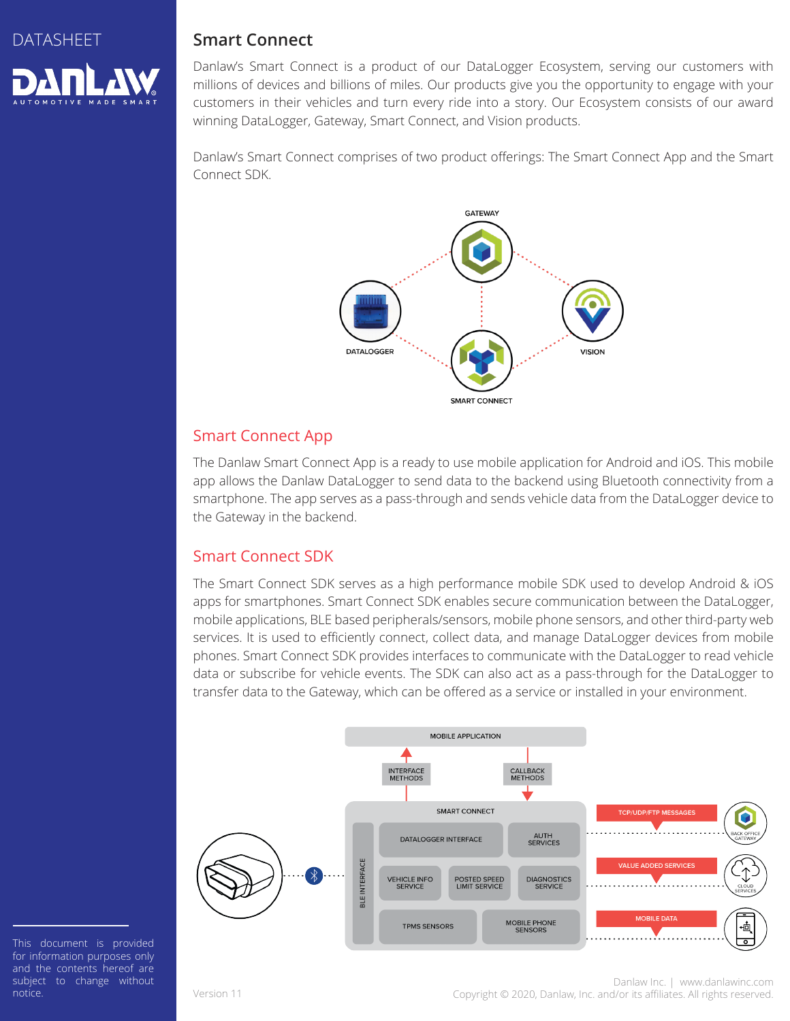

## **Smart Connect**

Danlaw's Smart Connect is a product of our DataLogger Ecosystem, serving our customers with millions of devices and billions of miles. Our products give you the opportunity to engage with your customers in their vehicles and turn every ride into a story. Our Ecosystem consists of our award winning DataLogger, Gateway, Smart Connect, and Vision products.

Danlaw's Smart Connect comprises of two product offerings: The Smart Connect App and the Smart Connect SDK.



### Smart Connect App

The Danlaw Smart Connect App is a ready to use mobile application for Android and iOS. This mobile app allows the Danlaw DataLogger to send data to the backend using Bluetooth connectivity from a smartphone. The app serves as a pass-through and sends vehicle data from the DataLogger device to the Gateway in the backend.

### Smart Connect SDK

The Smart Connect SDK serves as a high performance mobile SDK used to develop Android & iOS apps for smartphones. Smart Connect SDK enables secure communication between the DataLogger, mobile applications, BLE based peripherals/sensors, mobile phone sensors, and other third-party web services. It is used to efficiently connect, collect data, and manage DataLogger devices from mobile phones. Smart Connect SDK provides interfaces to communicate with the DataLogger to read vehicle data or subscribe for vehicle events. The SDK can also act as a pass-through for the DataLogger to transfer data to the Gateway, which can be offered as a service or installed in your environment.



This document is provided for information purposes only and the contents hereof are subject to change without notice.